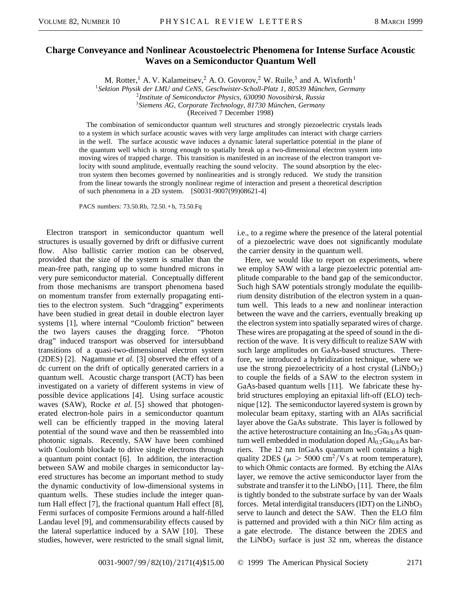## **Charge Conveyance and Nonlinear Acoustoelectric Phenomena for Intense Surface Acoustic Waves on a Semiconductor Quantum Well**

M. Rotter,<sup>1</sup> A. V. Kalameitsev,<sup>2</sup> A. O. Govorov,<sup>2</sup> W. Ruile,<sup>3</sup> and A. Wixforth<sup>1</sup>

<sup>1</sup>*Sektion Physik der LMU and CeNS, Geschwister-Scholl-Platz 1, 80539 München, Germany*

<sup>2</sup>*Institute of Semiconductor Physics, 630090 Novosibirsk, Russia*

<sup>3</sup>*Siemens AG, Corporate Technology, 81730 München, Germany*

(Received 7 December 1998)

The combination of semiconductor quantum well structures and strongly piezoelectric crystals leads to a system in which surface acoustic waves with very large amplitudes can interact with charge carriers in the well. The surface acoustic wave induces a dynamic lateral superlattice potential in the plane of the quantum well which is strong enough to spatially break up a two-dimensional electron system into moving wires of trapped charge. This transition is manifested in an increase of the electron transport velocity with sound amplitude, eventually reaching the sound velocity. The sound absorption by the electron system then becomes governed by nonlinearities and is strongly reduced. We study the transition from the linear towards the strongly nonlinear regime of interaction and present a theoretical description of such phenomena in a 2D system. [S0031-9007(99)08621-4]

PACS numbers: 73.50.Rb, 72.50. + b, 73.50.Fq

Electron transport in semiconductor quantum well structures is usually governed by drift or diffusive current flow. Also ballistic carrier motion can be observed, provided that the size of the system is smaller than the mean-free path, ranging up to some hundred microns in very pure semiconductor material. Conceptually different from those mechanisms are transport phenomena based on momentum transfer from externally propagating entities to the electron system. Such "dragging" experiments have been studied in great detail in double electron layer systems [1], where internal "Coulomb friction" between the two layers causes the dragging force. "Photon drag" induced transport was observed for intersubband transitions of a quasi-two-dimensional electron system (2DES) [2]. Nagamune *et al.* [3] observed the effect of a dc current on the drift of optically generated carriers in a quantum well. Acoustic charge transport (ACT) has been investigated on a variety of different systems in view of possible device applications [4]. Using surface acoustic waves (SAW), Rocke *et al.* [5] showed that photogenerated electron-hole pairs in a semiconductor quantum well can be efficiently trapped in the moving lateral potential of the sound wave and then be reassembled into photonic signals. Recently, SAW have been combined with Coulomb blockade to drive single electrons through a quantum point contact [6]. In addition, the interaction between SAW and mobile charges in semiconductor layered structures has become an important method to study the dynamic conductivity of low-dimensional systems in quantum wells. These studies include the integer quantum Hall effect [7], the fractional quantum Hall effect [8], Fermi surfaces of composite Fermions around a half-filled Landau level [9], and commensurability effects caused by the lateral superlattice induced by a SAW [10]. These studies, however, were restricted to the small signal limit,

i.e., to a regime where the presence of the lateral potential of a piezoelectric wave does not significantly modulate the carrier density in the quantum well.

Here, we would like to report on experiments, where we employ SAW with a large piezoelectric potential amplitude comparable to the band gap of the semiconductor. Such high SAW potentials strongly modulate the equilibrium density distribution of the electron system in a quantum well. This leads to a new and nonlinear interaction between the wave and the carriers, eventually breaking up the electron system into spatially separated wires of charge. These wires are propagating at the speed of sound in the direction of the wave. It is very difficult to realize SAW with such large amplitudes on GaAs-based structures. Therefore, we introduced a hybridization technique, where we use the strong piezoelectricity of a host crystal  $(LiNbO<sub>3</sub>)$ to couple the fields of a SAW to the electron system in GaAs-based quantum wells [11]. We fabricate these hybrid structures employing an epitaxial lift-off (ELO) technique [12]. The semiconductor layered system is grown by molecular beam epitaxy, starting with an AlAs sacrificial layer above the GaAs substrate. This layer is followed by the active heterostructure containing an  $In<sub>0.2</sub>Ga<sub>0.8</sub>As quan$ tum well embedded in modulation doped  $Al_{0.2}Ga_{0.8}As$  barriers. The 12 nm InGaAs quantum well contains a high quality 2DES ( $\mu > 5000 \text{ cm}^2/\text{V s}$  at room temperature), to which Ohmic contacts are formed. By etching the AlAs layer, we remove the active semiconductor layer from the substrate and transfer it to the  $LiNbO<sub>3</sub>$  [11]. There, the film is tightly bonded to the substrate surface by van der Waals forces. Metal interdigital transducers (IDT) on the  $LiNbO<sub>3</sub>$ serve to launch and detect the SAW. Then the ELO film is patterned and provided with a thin NiCr film acting as a gate electrode. The distance between the 2DES and the  $LiNbO<sub>3</sub>$  surface is just 32 nm, whereas the distance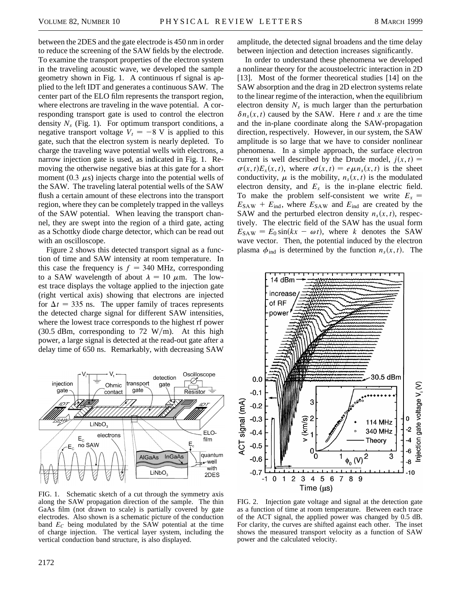between the 2DES and the gate electrode is 450 nm in order to reduce the screening of the SAW fields by the electrode. To examine the transport properties of the electron system in the traveling acoustic wave, we developed the sample geometry shown in Fig. 1. A continuous rf signal is applied to the left IDT and generates a continuous SAW. The center part of the ELO film represents the transport region, where electrons are traveling in the wave potential. A corresponding transport gate is used to control the electron density  $N_s$  (Fig. 1). For optimum transport conditions, a negative transport voltage  $V_t = -8$  V is applied to this gate, such that the electron system is nearly depleted. To charge the traveling wave potential wells with electrons, a narrow injection gate is used, as indicated in Fig. 1. Removing the otherwise negative bias at this gate for a short moment (0.3  $\mu$ s) injects charge into the potential wells of the SAW. The traveling lateral potential wells of the SAW flush a certain amount of these electrons into the transport region, where they can be completely trapped in the valleys of the SAW potential. When leaving the transport channel, they are swept into the region of a third gate, acting as a Schottky diode charge detector, which can be read out with an oscilloscope.

Figure 2 shows this detected transport signal as a function of time and SAW intensity at room temperature. In this case the frequency is  $f = 340$  MHz, corresponding to a SAW wavelength of about  $\lambda = 10 \mu$ m. The lowest trace displays the voltage applied to the injection gate (right vertical axis) showing that electrons are injected for  $\Delta t = 335$  ns. The upper family of traces represents the detected charge signal for different SAW intensities, where the lowest trace corresponds to the highest rf power (30.5 dBm, corresponding to 72 W/m). At this high power, a large signal is detected at the read-out gate after a delay time of 650 ns. Remarkably, with decreasing SAW



FIG. 1. Schematic sketch of a cut through the symmetry axis along the SAW propagation direction of the sample. The thin GaAs film (not drawn to scale) is partially covered by gate electrodes. Also shown is a schematic picture of the conduction band  $E<sub>C</sub>$  being modulated by the SAW potential at the time of charge injection. The vertical layer system, including the vertical conduction band structure, is also displayed.

amplitude, the detected signal broadens and the time delay between injection and detection increases significantly.

In order to understand these phenomena we developed a nonlinear theory for the acoustoelectric interaction in 2D [13]. Most of the former theoretical studies [14] on the SAW absorption and the drag in 2D electron systems relate to the linear regime of the interaction, when the equilibrium electron density  $N_s$  is much larger than the perturbation  $\delta n_s(x, t)$  caused by the SAW. Here *t* and *x* are the time and the in-plane coordinate along the SAW-propagation direction, respectively. However, in our system, the SAW amplitude is so large that we have to consider nonlinear phenomena. In a simple approach, the surface electron current is well described by the Drude model,  $j(x, t) =$  $\sigma(x, t)E_x(x, t)$ , where  $\sigma(x, t) = e \mu n_s(x, t)$  is the sheet conductivity,  $\mu$  is the mobility,  $n_s(x, t)$  is the modulated electron density, and  $E_x$  is the in-plane electric field. To make the problem self-consistent we write  $E_x =$  $E_{\text{SAW}} + E_{\text{ind}}$ , where  $E_{\text{SAW}}$  and  $E_{\text{ind}}$  are created by the SAW and the perturbed electron density  $n<sub>s</sub>(x, t)$ , respectively. The electric field of the SAW has the usual form  $E_{\text{SAW}} = E_0 \sin(kx - \omega t)$ , where *k* denotes the SAW wave vector. Then, the potential induced by the electron plasma  $\phi_{\text{ind}}$  is determined by the function  $n_s(x, t)$ . The



FIG. 2. Injection gate voltage and signal at the detection gate as a function of time at room temperature. Between each trace of the ACT signal, the applied power was changed by 0.5 dB. For clarity, the curves are shifted against each other. The inset shows the measured transport velocity as a function of SAW power and the calculated velocity.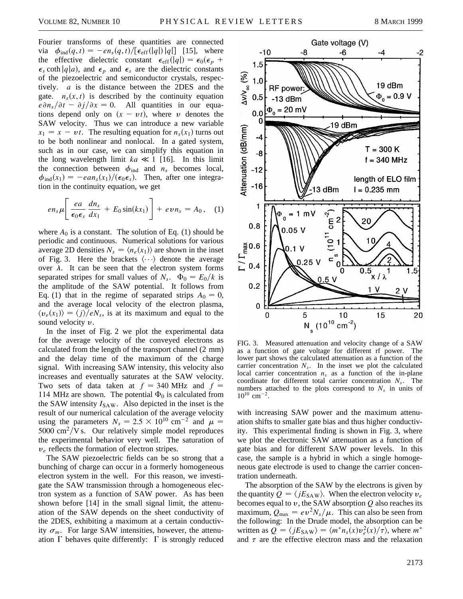Fourier transforms of these quantities are connected via  $\phi_{\text{ind}}(q, t) = -en_s(q, t)/[\epsilon_{\text{eff}}(|q|)|q|]$  [15], where the effective dielectric constant  $\epsilon_{eff}(|q|) = \epsilon_0(\epsilon_p + \epsilon_p)$  $\epsilon_s$  coth  $|q|a$ , and  $\epsilon_p$  and  $\epsilon_s$  are the dielectric constants of the piezoelectric and semiconductor crystals, respectively. *a* is the distance between the 2DES and the gate.  $n_s(x, t)$  is described by the continuity equation  $e\partial r_s/\partial t - \partial f/\partial x = 0$ . All quantities in our equations depend only on  $(x - vt)$ , where v denotes the SAW velocity. Thus we can introduce a new variable  $x_1 = x - vt$ . The resulting equation for  $n_s(x_1)$  turns out to be both nonlinear and nonlocal. In a gated system, such as in our case, we can simplify this equation in the long wavelength limit  $ka \ll 1$  [16]. In this limit the connection between  $\phi_{\text{ind}}$  and  $n_s$  becomes local,  $\phi_{\text{ind}}(x_1) = -e a n_s(x_1) / (\epsilon_0 \epsilon_s)$ . Then, after one integration in the continuity equation, we get

$$
en_s\mu\left[\frac{ea}{\epsilon_0\epsilon_s}\frac{dn_s}{dx_1}+E_0\sin(kx_1)\right]+evn_s=A_0,\quad (1)
$$

where  $A_0$  is a constant. The solution of Eq. (1) should be periodic and continuous. Numerical solutions for various average 2D densities  $N_s = \langle n_e(x_1) \rangle$  are shown in the inset of Fig. 3. Here the brackets  $\langle \cdots \rangle$  denote the average over  $\lambda$ . It can be seen that the electron system forms separated stripes for small values of  $N_s$ .  $\Phi_0 = E_0/k$  is the amplitude of the SAW potential. It follows from Eq. (1) that in the regime of separated strips  $A_0 = 0$ , and the average local velocity of the electron plasma,  $\langle v_e(x_1) \rangle = \langle i \rangle / eN_s$ , is at its maximum and equal to the sound velocity  $v$ .

In the inset of Fig. 2 we plot the experimental data for the average velocity of the conveyed electrons as calculated from the length of the transport channel (2 mm) and the delay time of the maximum of the charge signal. With increasing SAW intensity, this velocity also increases and eventually saturates at the SAW velocity. Two sets of data taken at  $f = 340$  MHz and  $f =$ 114 MHz are shown. The potential  $\Phi_0$  is calculated from the SAW intensity  $I_{SAW}$ . Also depicted in the inset is the result of our numerical calculation of the average velocity using the parameters  $N_s = 2.5 \times 10^{10}$  cm<sup>-2</sup> and  $\mu =$  $5000 \text{ cm}^2/\text{V s}$ . Our relatively simple model reproduces the experimental behavior very well. The saturation of  $v_e$  reflects the formation of electron stripes.

The SAW piezoelectric fields can be so strong that a bunching of charge can occur in a formerly homogeneous electron system in the well. For this reason, we investigate the SAW transmission through a homogeneous electron system as a function of SAW power. As has been shown before [14] in the small signal limit, the attenuation of the SAW depends on the sheet conductivity of the 2DES, exhibiting a maximum at a certain conductivity  $\sigma_m$ . For large SAW intensities, however, the attenuation  $\Gamma$  behaves quite differently:  $\Gamma$  is strongly reduced



FIG. 3. Measured attenuation and velocity change of a SAW as a function of gate voltage for different rf power. The lower part shows the calculated attenuation as a function of the carrier concentration  $N_s$ . In the inset we plot the calculated local carrier concentration  $n<sub>s</sub>$  as a function of the in-plane coordinate for different total carrier concentration *Ns*. The numbers attached to the plots correspond to  $N<sub>s</sub>$  in units of  $10^{10}$  cm<sup>-2</sup>.

with increasing SAW power and the maximum attenuation shifts to smaller gate bias and thus higher conductivity. This experimental finding is shown in Fig. 3, where we plot the electronic SAW attenuation as a function of gate bias and for different SAW power levels. In this case, the sample is a hybrid in which a single homogeneous gate electrode is used to change the carrier concentration underneath.

The absorption of the SAW by the electrons is given by the quantity  $Q = \langle jE_{\text{SAW}} \rangle$ . When the electron velocity  $v_e$ becomes equal to y, the SAW absorption *Q* also reaches its maximum,  $Q_{\text{max}} = ev^2 N_s / \mu$ . This can also be seen from the following: In the Drude model, the absorption can be written as  $Q = \langle jE_{\text{SAW}} \rangle = \langle m^* n_s(x) v_e^2(x) / \tau \rangle$ , where  $m^*$ and  $\tau$  are the effective electron mass and the relaxation